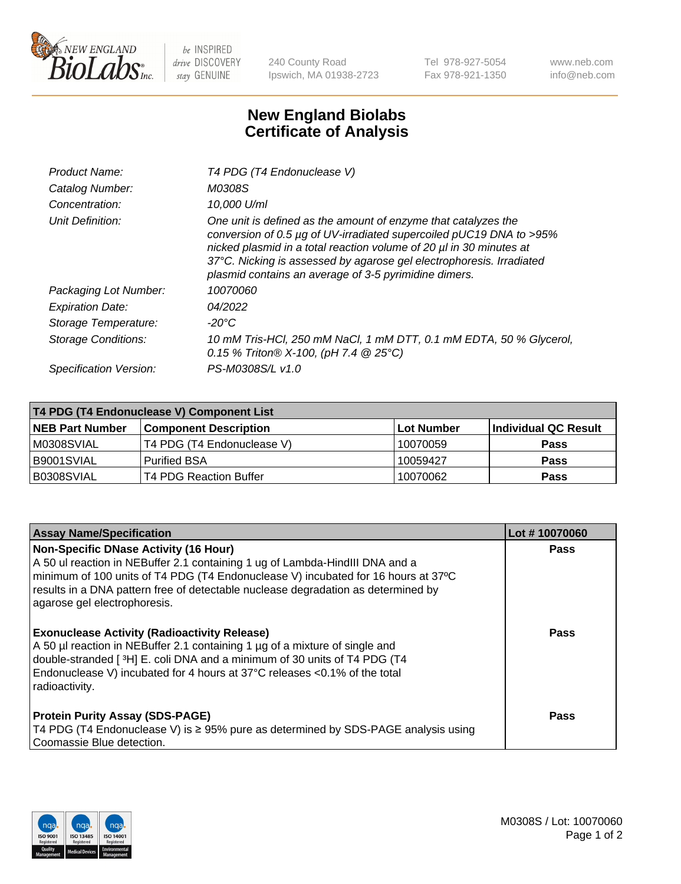

 $be$  INSPIRED drive DISCOVERY stay GENUINE

240 County Road Ipswich, MA 01938-2723 Tel 978-927-5054 Fax 978-921-1350 www.neb.com info@neb.com

## **New England Biolabs Certificate of Analysis**

| Product Name:              | T4 PDG (T4 Endonuclease V)                                                                                                                                                                                                                                                                                                                    |
|----------------------------|-----------------------------------------------------------------------------------------------------------------------------------------------------------------------------------------------------------------------------------------------------------------------------------------------------------------------------------------------|
| Catalog Number:            | M0308S                                                                                                                                                                                                                                                                                                                                        |
| Concentration:             | 10,000 U/ml                                                                                                                                                                                                                                                                                                                                   |
| Unit Definition:           | One unit is defined as the amount of enzyme that catalyzes the<br>conversion of 0.5 µg of UV-irradiated supercoiled pUC19 DNA to >95%<br>nicked plasmid in a total reaction volume of 20 µl in 30 minutes at<br>37°C. Nicking is assessed by agarose gel electrophoresis. Irradiated<br>plasmid contains an average of 3-5 pyrimidine dimers. |
| Packaging Lot Number:      | 10070060                                                                                                                                                                                                                                                                                                                                      |
| <b>Expiration Date:</b>    | 04/2022                                                                                                                                                                                                                                                                                                                                       |
| Storage Temperature:       | $-20^{\circ}$ C                                                                                                                                                                                                                                                                                                                               |
| <b>Storage Conditions:</b> | 10 mM Tris-HCl, 250 mM NaCl, 1 mM DTT, 0.1 mM EDTA, 50 % Glycerol,<br>0.15 % Triton® X-100, (pH 7.4 @ 25°C)                                                                                                                                                                                                                                   |
| Specification Version:     | PS-M0308S/L v1.0                                                                                                                                                                                                                                                                                                                              |

| T4 PDG (T4 Endonuclease V) Component List |                              |                   |                      |  |
|-------------------------------------------|------------------------------|-------------------|----------------------|--|
| <b>NEB Part Number</b>                    | <b>Component Description</b> | <b>Lot Number</b> | Individual QC Result |  |
| M0308SVIAL                                | T4 PDG (T4 Endonuclease V)   | 10070059          | <b>Pass</b>          |  |
| B9001SVIAL                                | <b>Purified BSA</b>          | 10059427          | Pass                 |  |
| B0308SVIAL                                | T4 PDG Reaction Buffer       | 10070062          | <b>Pass</b>          |  |

| <b>Assay Name/Specification</b>                                                                                                                                                                                                                                                                                                        | Lot #10070060 |
|----------------------------------------------------------------------------------------------------------------------------------------------------------------------------------------------------------------------------------------------------------------------------------------------------------------------------------------|---------------|
| <b>Non-Specific DNase Activity (16 Hour)</b><br>A 50 ul reaction in NEBuffer 2.1 containing 1 ug of Lambda-HindIII DNA and a<br>minimum of 100 units of T4 PDG (T4 Endonuclease V) incubated for 16 hours at 37°C<br>results in a DNA pattern free of detectable nuclease degradation as determined by<br>agarose gel electrophoresis. | <b>Pass</b>   |
| <b>Exonuclease Activity (Radioactivity Release)</b><br>A 50 µl reaction in NEBuffer 2.1 containing 1 µg of a mixture of single and<br>double-stranded [3H] E. coli DNA and a minimum of 30 units of T4 PDG (T4<br>Endonuclease V) incubated for 4 hours at 37°C releases <0.1% of the total<br>radioactivity.                          | <b>Pass</b>   |
| <b>Protein Purity Assay (SDS-PAGE)</b><br>T4 PDG (T4 Endonuclease V) is ≥ 95% pure as determined by SDS-PAGE analysis using<br>Coomassie Blue detection.                                                                                                                                                                               | Pass          |